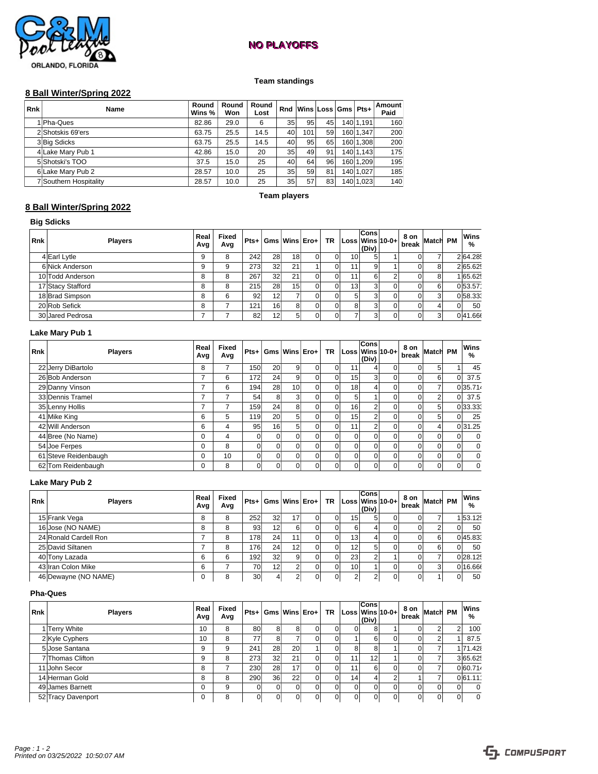# **NO PLAYOFFS NO PLAYOFFS**



### **Team standings**

## **8 Ball Winter/Spring 2022**

| <b>Rnk</b> | <b>Name</b>            | Round<br>Wins % | Round<br>Won | Round<br>Lost |    |                 |    | Rnd Wins Loss Gms Pts+ |           | Amount<br>Paid |
|------------|------------------------|-----------------|--------------|---------------|----|-----------------|----|------------------------|-----------|----------------|
|            | 1 Pha-Ques             | 82.86           | 29.0         | 6             | 35 | 95 <sub>1</sub> | 45 |                        | 140 1.191 | 160            |
|            | 2 Shotskis 69'ers      | 63.75           | 25.5         | 14.5          | 40 | 101             | 59 |                        | 160 1.347 | 200            |
|            | 3 Big Sdicks           | 63.75           | 25.5         | 14.5          | 40 | 95              | 65 |                        | 160 1.308 | 200            |
|            | 4 Lake Mary Pub 1      | 42.86           | 15.0         | 20            | 35 | 49              | 91 |                        | 140 1.143 | 175            |
|            | 5 Shotski's TOO        | 37.5            | 15.0         | 25            | 40 | 64              | 96 |                        | 160 1.209 | 195            |
|            | 6 Lake Mary Pub 2      | 28.57           | 10.0         | 25            | 35 | 59              | 81 |                        | 140 1.027 | 185            |
|            | 7 Southern Hospitality | 28.57           | 10.0         | 25            | 35 | 57              | 83 |                        | 140 1,023 | 140            |

#### **Team players**

## **8 Ball Winter/Spring 2022**

### **Big Sdicks**

| Rnk | <b>Players</b>    | Real<br>Avg | Fixed<br>Avg |     |                 |    |  |                 | <b>Cons</b><br>(Div) | $Pts+$ Gms Wins Ero+ TR Loss Wins 10-0+ | $\frac{8 \text{ on}}{\text{break}}$ Match PM |  | Wins<br>% |
|-----|-------------------|-------------|--------------|-----|-----------------|----|--|-----------------|----------------------|-----------------------------------------|----------------------------------------------|--|-----------|
|     | 4 Earl Lytle      | 9           | 8            | 242 | 28 <sup>1</sup> | 18 |  | 10 <sup>1</sup> |                      |                                         | ונ                                           |  | 264.28    |
|     | 6 Nick Anderson   | 9           | 9            | 273 | 32              | 21 |  | 111             | 9                    |                                         |                                              |  | 2 65.62   |
|     | 10 Todd Anderson  | 8           | 8            | 267 | 32              | 21 |  | 11 <sub>1</sub> | 61                   |                                         |                                              |  | 1 65.62   |
|     | 17 Stacy Stafford | 8           | 8            | 215 | 28              | 15 |  | 13 <sup>1</sup> |                      |                                         |                                              |  | 0 53.57   |
|     | 18 Brad Simpson   | 8           | 6            | 92  | 12 <sup>1</sup> |    |  |                 |                      |                                         |                                              |  | 058.333   |
|     | 20 Rob Sefick     | 8           |              | 121 | 16 <sup>1</sup> |    |  | 8               |                      |                                         |                                              |  | 50        |
|     | 30 Jared Pedrosa  |             |              | 82  | 12 <sup>1</sup> |    |  |                 |                      |                                         | ונ                                           |  | 041.66    |

### **Lake Mary Pub 1**

| <b>Rnk</b> | <b>Players</b>       | Real<br>Avg | Fixed<br>Avg   |                 | Pts+ Gms Wins Ero+ |                 |          | <b>TR</b> | Loss Wins 10-0+ | Cons<br>(Div)  | $\frac{8 \text{ on}}{\text{break}}$ Match |            | <b>PM</b> | Wins<br>% |
|------------|----------------------|-------------|----------------|-----------------|--------------------|-----------------|----------|-----------|-----------------|----------------|-------------------------------------------|------------|-----------|-----------|
|            | 22 Jerry DiBartolo   | 8           | 7              | 150             | <b>20</b>          | 91              | $\Omega$ | $\Omega$  | 11              |                |                                           |            |           | 45        |
|            | 26 Bob Anderson      | –           | 6              | 172             | 24                 | 9               | $\Omega$ | $\Omega$  | 15              | 3              |                                           |            |           | 37.5      |
|            | 29 Danny Vinson      |             | 6              | 194             | 28                 | 10 <sup>1</sup> | $\Omega$ | $\Omega$  | 181             |                |                                           |            |           | 035.714   |
|            | 33 Dennis Tramel     |             | ⇁              | 54              | 8                  | 3               | $\Omega$ | $\Omega$  |                 |                |                                           |            | $\Omega$  | 37.5      |
|            | 35 Lenny Hollis      |             | ⇁              | 159             | 24                 | 81              | $\Omega$ | $\Omega$  | 16              | $\overline{2}$ |                                           | $\sqrt{5}$ |           | 033.331   |
|            | 41 Mike King         | 6           | 5              | 119             | <b>20</b>          | 51              | $\Omega$ | $\Omega$  | 15              | $\overline{2}$ |                                           |            |           | 25        |
|            | 42 Will Anderson     | 6           | $\overline{4}$ | 95 <sub>1</sub> | 16                 | 51              | $\Omega$ | $\Omega$  | 11              | $\overline{2}$ |                                           | 4          |           | 0 31.25   |
|            | 44 Bree (No Name)    | 0           | 4              |                 |                    |                 | $\Omega$ | $\Omega$  | $\Omega$        | $\Omega$       |                                           |            |           |           |
|            | 54 Joe Ferpes        | 0           | 8              |                 |                    |                 | $\Omega$ |           |                 | $\Omega$       |                                           |            |           |           |
|            | 61 Steve Reidenbaugh | 0           | 10             |                 |                    |                 | $\Omega$ |           | $\Omega$        | $\Omega$       |                                           |            |           |           |
|            | 62 Tom Reidenbaugh   | 0           | 8              |                 |                    |                 | 0        | $\Omega$  | $\overline{0}$  | $\Omega$       |                                           |            |           |           |

#### **Lake Mary Pub 2**

| <b>Rnk</b> | <b>Players</b>        | Real<br>Avg | Fixed<br>Avg |     |                 |    | $Pts+ Gms Wins Ero+ $ | $TR  Loss Wins 10-0+ $ | Cons<br>(Div) | $8$ on Match PM<br>break |  | Wins<br>% |
|------------|-----------------------|-------------|--------------|-----|-----------------|----|-----------------------|------------------------|---------------|--------------------------|--|-----------|
|            | 15 Frank Vega         |             | 8            | 252 | 32 <sub>1</sub> | 17 | ΩI                    | 15 <sup>1</sup>        |               |                          |  | 153.125   |
|            | 16 Jose (NO NAME)     |             | 8            | 93  | 12              |    |                       | 6                      |               |                          |  | 50        |
|            | 24 Ronald Cardell Ron |             | 8            | 178 | 24 <sub>1</sub> | 11 | $\Omega$              | 13 <sup>1</sup>        |               |                          |  | 045.83    |
|            | 25 David Siltanen     |             | 8            | 176 | 24 <sub>1</sub> | 12 | $\Omega$              | 12 <sup>1</sup>        | 5             |                          |  | 50        |
|            | 40 Tony Lazada        | 6           | 6            | 192 | 32              | ΩI | $\Omega$              | 23 <sup>1</sup>        | $\sim$        |                          |  | 0 28.125  |
|            | 43 Iran Colon Mike    | 6           |              | 70  | 12              |    | $\Omega$              | 10 <sup>1</sup>        |               |                          |  | 0 16.66   |
|            | 46 Dewayne (NO NAME)  |             | 8            | 30  |                 |    | 01                    |                        |               |                          |  | 50        |

#### **Pha-Ques**

| <b>Rnk</b> | <b>Players</b>     | Real<br>Avg | Fixed<br>Avg |     |                 |    | $Pts+ Gms Wins Ero+ $ |                 | <b>Cons</b><br>$TR  Loss Wins 10-0+$<br>(Div) | 8 on Match PM  *<br>break |    | Wins<br>% |
|------------|--------------------|-------------|--------------|-----|-----------------|----|-----------------------|-----------------|-----------------------------------------------|---------------------------|----|-----------|
|            | 1 Terry White      | 10          | 8            | 80  | 81              |    |                       | $\Omega$        | 8                                             |                           |    | 100       |
|            | 2 Kyle Cyphers     | 10          | 8            | 77  | 81              |    |                       |                 | 6                                             |                           |    | 87.5      |
|            | 5 Jose Santana     | 9           | 9            | 241 | 28              | 20 |                       | 81              | 8                                             |                           |    | 1 71.42   |
|            | 7 Thomas Clifton   | 9           | 8            | 273 | 32 <sub>2</sub> | 21 |                       | 11              | 12                                            |                           |    | 3 65.62   |
|            | 11 John Secor      | 8           |              | 230 | 28              | 17 |                       | 11              | 61                                            |                           |    | 0 60.714  |
|            | 14 Herman Gold     | 8           | 8            | 290 | 36 <sup>l</sup> | 22 |                       | 14 <sub>1</sub> |                                               |                           |    | 0 61.11   |
|            | 49 James Barnett   | 0           | 9            |     | ΩI              |    |                       | $\Omega$        | $\Omega$                                      |                           | വ  |           |
|            | 52 Tracy Davenport | 0           | 8            |     | ΩI              |    |                       | $\Omega$        |                                               |                           | DТ |           |